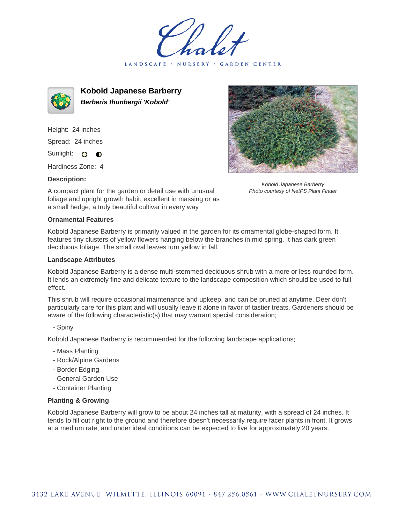holet LANDSCAPE · GARDEN CENTER



**Kobold Japanese Barberry Berberis thunbergii 'Kobold'**

Height: 24 inches Spread: 24 inches Sunlight: O O

Hardiness Zone: 4

## **Description:**



Kobold Japanese Barberry Photo courtesy of NetPS Plant Finder

A compact plant for the garden or detail use with unusual foliage and upright growth habit; excellent in massing or as a small hedge, a truly beautiful cultivar in every way

## **Ornamental Features**

Kobold Japanese Barberry is primarily valued in the garden for its ornamental globe-shaped form. It features tiny clusters of yellow flowers hanging below the branches in mid spring. It has dark green deciduous foliage. The small oval leaves turn yellow in fall.

## **Landscape Attributes**

Kobold Japanese Barberry is a dense multi-stemmed deciduous shrub with a more or less rounded form. It lends an extremely fine and delicate texture to the landscape composition which should be used to full effect.

This shrub will require occasional maintenance and upkeep, and can be pruned at anytime. Deer don't particularly care for this plant and will usually leave it alone in favor of tastier treats. Gardeners should be aware of the following characteristic(s) that may warrant special consideration;

- Spiny

Kobold Japanese Barberry is recommended for the following landscape applications;

- Mass Planting
- Rock/Alpine Gardens
- Border Edging
- General Garden Use
- Container Planting

## **Planting & Growing**

Kobold Japanese Barberry will grow to be about 24 inches tall at maturity, with a spread of 24 inches. It tends to fill out right to the ground and therefore doesn't necessarily require facer plants in front. It grows at a medium rate, and under ideal conditions can be expected to live for approximately 20 years.